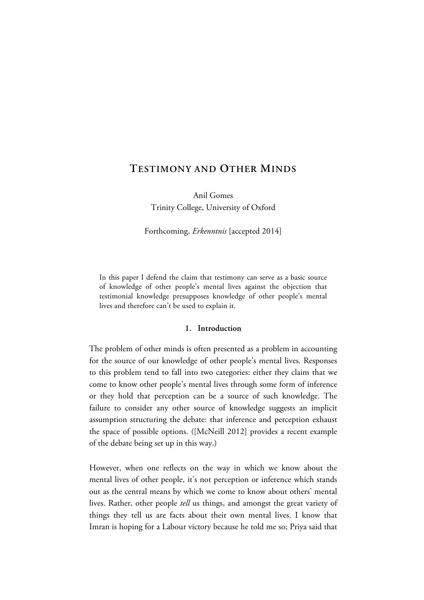# **TESTIMONY AND OTHER MINDS**

Anil Gomes Trinity College, University of Oxford

Forthcoming, *Erkenntnis* [accepted 2014]

In this paper I defend the claim that testimony can serve as a basic source of knowledge of other people's mental lives against the objection that testimonial knowledge presupposes knowledge of other people's mental lives and therefore can't be used to explain it.

## **1. Introduction**

The problem of other minds is often presented as a problem in accounting for the source of our knowledge of other people's mental lives. Responses to this problem tend to fall into two categories: either they claim that we come to know other people's mental lives through some form of inference or they hold that perception can be a source of such knowledge. The failure to consider any other source of knowledge suggests an implicit assumption structuring the debate: that inference and perception exhaust the space of possible options. ([McNeill 2012] provides a recent example of the debate being set up in this way.)

However, when one reflects on the way in which we know about the mental lives of other people, it's not perception or inference which stands out as the central means by which we come to know about others' mental lives. Rather, other people *tell* us things, and amongst the great variety of things they tell us are facts about their own mental lives. I know that Imran is hoping for a Labour victory because he told me so; Priya said that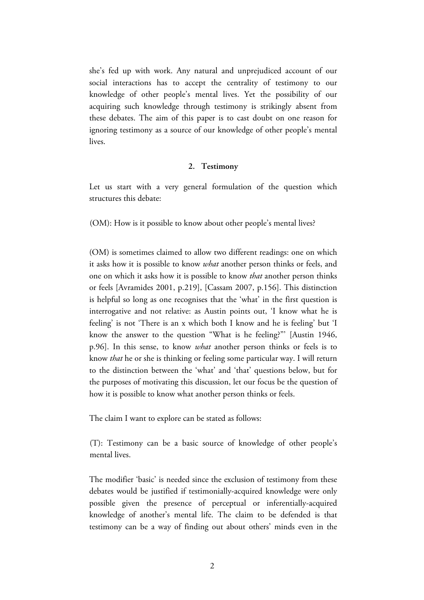she's fed up with work. Any natural and unprejudiced account of our social interactions has to accept the centrality of testimony to our knowledge of other people's mental lives. Yet the possibility of our acquiring such knowledge through testimony is strikingly absent from these debates. The aim of this paper is to cast doubt on one reason for ignoring testimony as a source of our knowledge of other people's mental lives.

#### **2. Testimony**

Let us start with a very general formulation of the question which structures this debate:

(OM): How is it possible to know about other people's mental lives?

(OM) is sometimes claimed to allow two different readings: one on which it asks how it is possible to know *what* another person thinks or feels, and one on which it asks how it is possible to know *that* another person thinks or feels [Avramides 2001, p.219], [Cassam 2007, p.156]. This distinction is helpful so long as one recognises that the 'what' in the first question is interrogative and not relative: as Austin points out, 'I know what he is feeling' is not 'There is an x which both I know and he is feeling' but 'I know the answer to the question "What is he feeling?"' [Austin 1946, p.96]. In this sense, to know *what* another person thinks or feels is to know *that* he or she is thinking or feeling some particular way. I will return to the distinction between the 'what' and 'that' questions below, but for the purposes of motivating this discussion, let our focus be the question of how it is possible to know what another person thinks or feels.

The claim I want to explore can be stated as follows:

(T): Testimony can be a basic source of knowledge of other people's mental lives.

The modifier 'basic' is needed since the exclusion of testimony from these debates would be justified if testimonially-acquired knowledge were only possible given the presence of perceptual or inferentially-acquired knowledge of another's mental life. The claim to be defended is that testimony can be a way of finding out about others' minds even in the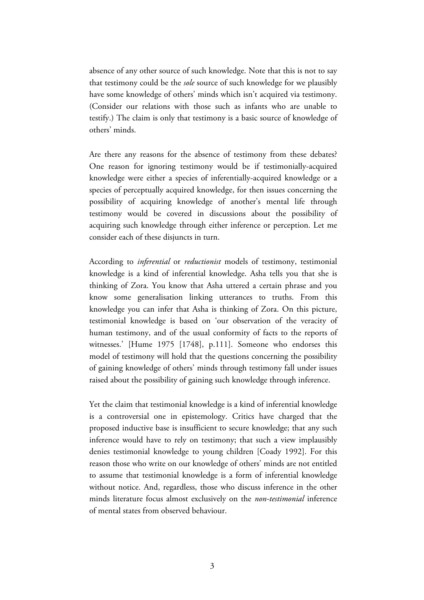absence of any other source of such knowledge. Note that this is not to say that testimony could be the *sole* source of such knowledge for we plausibly have some knowledge of others' minds which isn't acquired via testimony. (Consider our relations with those such as infants who are unable to testify.) The claim is only that testimony is a basic source of knowledge of others' minds.

Are there any reasons for the absence of testimony from these debates? One reason for ignoring testimony would be if testimonially-acquired knowledge were either a species of inferentially-acquired knowledge or a species of perceptually acquired knowledge, for then issues concerning the possibility of acquiring knowledge of another's mental life through testimony would be covered in discussions about the possibility of acquiring such knowledge through either inference or perception. Let me consider each of these disjuncts in turn.

According to *inferential* or *reductionist* models of testimony, testimonial knowledge is a kind of inferential knowledge. Asha tells you that she is thinking of Zora. You know that Asha uttered a certain phrase and you know some generalisation linking utterances to truths. From this knowledge you can infer that Asha is thinking of Zora. On this picture, testimonial knowledge is based on 'our observation of the veracity of human testimony, and of the usual conformity of facts to the reports of witnesses.' [Hume 1975 [1748], p.111]. Someone who endorses this model of testimony will hold that the questions concerning the possibility of gaining knowledge of others' minds through testimony fall under issues raised about the possibility of gaining such knowledge through inference.

Yet the claim that testimonial knowledge is a kind of inferential knowledge is a controversial one in epistemology. Critics have charged that the proposed inductive base is insufficient to secure knowledge; that any such inference would have to rely on testimony; that such a view implausibly denies testimonial knowledge to young children [Coady 1992]. For this reason those who write on our knowledge of others' minds are not entitled to assume that testimonial knowledge is a form of inferential knowledge without notice. And, regardless, those who discuss inference in the other minds literature focus almost exclusively on the *non-testimonial* inference of mental states from observed behaviour.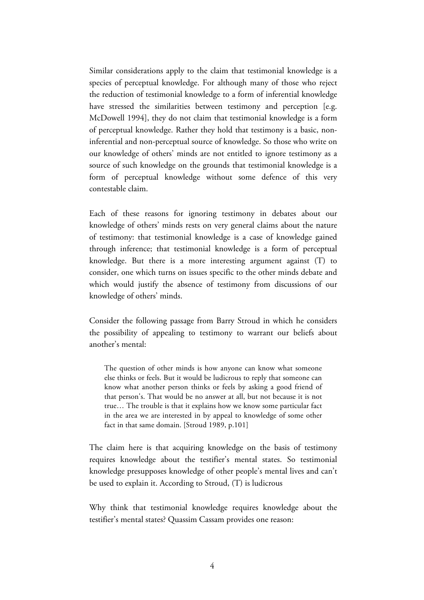Similar considerations apply to the claim that testimonial knowledge is a species of perceptual knowledge. For although many of those who reject the reduction of testimonial knowledge to a form of inferential knowledge have stressed the similarities between testimony and perception [e.g. McDowell 1994], they do not claim that testimonial knowledge is a form of perceptual knowledge. Rather they hold that testimony is a basic, noninferential and non-perceptual source of knowledge. So those who write on our knowledge of others' minds are not entitled to ignore testimony as a source of such knowledge on the grounds that testimonial knowledge is a form of perceptual knowledge without some defence of this very contestable claim.

Each of these reasons for ignoring testimony in debates about our knowledge of others' minds rests on very general claims about the nature of testimony: that testimonial knowledge is a case of knowledge gained through inference; that testimonial knowledge is a form of perceptual knowledge. But there is a more interesting argument against (T) to consider, one which turns on issues specific to the other minds debate and which would justify the absence of testimony from discussions of our knowledge of others' minds.

Consider the following passage from Barry Stroud in which he considers the possibility of appealing to testimony to warrant our beliefs about another's mental:

The question of other minds is how anyone can know what someone else thinks or feels. But it would be ludicrous to reply that someone can know what another person thinks or feels by asking a good friend of that person's. That would be no answer at all, but not because it is not true… The trouble is that it explains how we know some particular fact in the area we are interested in by appeal to knowledge of some other fact in that same domain. [Stroud 1989, p.101]

The claim here is that acquiring knowledge on the basis of testimony requires knowledge about the testifier's mental states. So testimonial knowledge presupposes knowledge of other people's mental lives and can't be used to explain it. According to Stroud, (T) is ludicrous

Why think that testimonial knowledge requires knowledge about the testifier's mental states? Quassim Cassam provides one reason: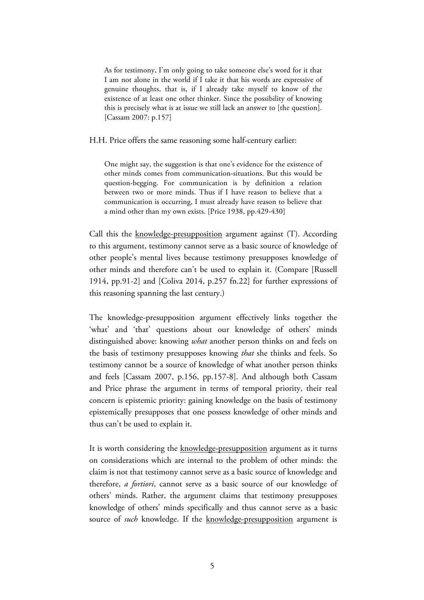As for testimony, I'm only going to take someone else's word for it that I am not alone in the world if I take it that his words are expressive of genuine thoughts, that is, if I already take myself to know of the existence of at least one other thinker. Since the possibility of knowing this is precisely what is at issue we still lack an answer to [the question]. [Cassam 2007: p.157]

H.H. Price offers the same reasoning some half-century earlier:

One might say, the suggestion is that one's evidence for the existence of other minds comes from communication-situations. But this would be question-begging. For communication is by definition a relation between two or more minds. Thus if I have reason to believe that a communication is occurring, I must already have reason to believe that a mind other than my own exists. [Price 1938, pp.429-430]

Call this the knowledge-presupposition argument against (T). According to this argument, testimony cannot serve as a basic source of knowledge of other people's mental lives because testimony presupposes knowledge of other minds and therefore can't be used to explain it. (Compare [Russell 1914, pp.91-2] and [Coliva 2014, p.257 fn.22] for further expressions of this reasoning spanning the last century.)

The knowledge-presupposition argument effectively links together the 'what' and 'that' questions about our knowledge of others' minds distinguished above: knowing *what* another person thinks on and feels on the basis of testimony presupposes knowing *that* she thinks and feels. So testimony cannot be a source of knowledge of what another person thinks and feels [Cassam 2007, p.156, pp.157-8]. And although both Cassam and Price phrase the argument in terms of temporal priority, their real concern is epistemic priority: gaining knowledge on the basis of testimony epistemically presupposes that one possess knowledge of other minds and thus can't be used to explain it.

It is worth considering the knowledge-presupposition argument as it turns on considerations which are internal to the problem of other minds: the claim is not that testimony cannot serve as a basic source of knowledge and therefore, *a fortiori*, cannot serve as a basic source of our knowledge of others' minds. Rather, the argument claims that testimony presupposes knowledge of others' minds specifically and thus cannot serve as a basic source of *such* knowledge. If the knowledge-presupposition argument is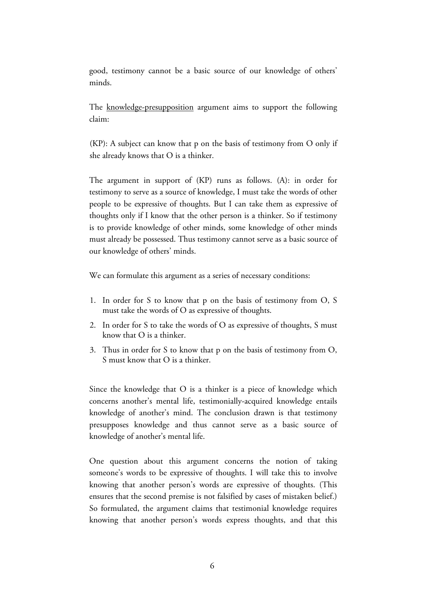good, testimony cannot be a basic source of our knowledge of others' minds.

The knowledge-presupposition argument aims to support the following claim:

(KP): A subject can know that p on the basis of testimony from O only if she already knows that O is a thinker.

The argument in support of (KP) runs as follows. (A): in order for testimony to serve as a source of knowledge, I must take the words of other people to be expressive of thoughts. But I can take them as expressive of thoughts only if I know that the other person is a thinker. So if testimony is to provide knowledge of other minds, some knowledge of other minds must already be possessed. Thus testimony cannot serve as a basic source of our knowledge of others' minds.

We can formulate this argument as a series of necessary conditions:

- 1. In order for S to know that p on the basis of testimony from O, S must take the words of O as expressive of thoughts.
- 2. In order for S to take the words of O as expressive of thoughts, S must know that O is a thinker.
- 3. Thus in order for S to know that p on the basis of testimony from O, S must know that O is a thinker.

Since the knowledge that O is a thinker is a piece of knowledge which concerns another's mental life, testimonially-acquired knowledge entails knowledge of another's mind. The conclusion drawn is that testimony presupposes knowledge and thus cannot serve as a basic source of knowledge of another's mental life.

One question about this argument concerns the notion of taking someone's words to be expressive of thoughts. I will take this to involve knowing that another person's words are expressive of thoughts. (This ensures that the second premise is not falsified by cases of mistaken belief.) So formulated, the argument claims that testimonial knowledge requires knowing that another person's words express thoughts, and that this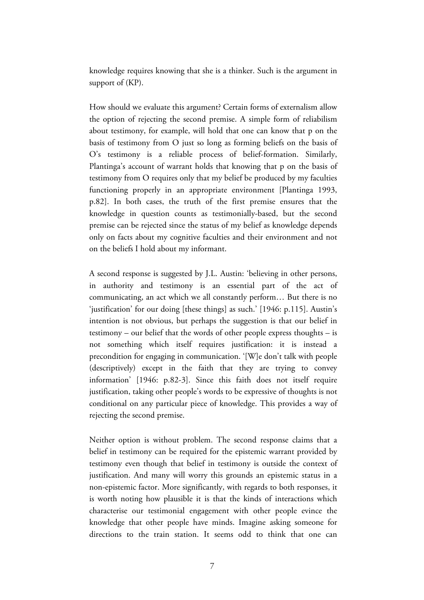knowledge requires knowing that she is a thinker. Such is the argument in support of (KP).

How should we evaluate this argument? Certain forms of externalism allow the option of rejecting the second premise. A simple form of reliabilism about testimony, for example, will hold that one can know that p on the basis of testimony from O just so long as forming beliefs on the basis of O's testimony is a reliable process of belief-formation. Similarly, Plantinga's account of warrant holds that knowing that p on the basis of testimony from O requires only that my belief be produced by my faculties functioning properly in an appropriate environment [Plantinga 1993, p.82]. In both cases, the truth of the first premise ensures that the knowledge in question counts as testimonially-based, but the second premise can be rejected since the status of my belief as knowledge depends only on facts about my cognitive faculties and their environment and not on the beliefs I hold about my informant.

A second response is suggested by J.L. Austin: 'believing in other persons, in authority and testimony is an essential part of the act of communicating, an act which we all constantly perform… But there is no 'justification' for our doing [these things] as such.' [1946: p.115]. Austin's intention is not obvious, but perhaps the suggestion is that our belief in testimony – our belief that the words of other people express thoughts – is not something which itself requires justification: it is instead a precondition for engaging in communication. '[W]e don't talk with people (descriptively) except in the faith that they are trying to convey information' [1946: p.82-3]. Since this faith does not itself require justification, taking other people's words to be expressive of thoughts is not conditional on any particular piece of knowledge. This provides a way of rejecting the second premise.

Neither option is without problem. The second response claims that a belief in testimony can be required for the epistemic warrant provided by testimony even though that belief in testimony is outside the context of justification. And many will worry this grounds an epistemic status in a non-epistemic factor. More significantly, with regards to both responses, it is worth noting how plausible it is that the kinds of interactions which characterise our testimonial engagement with other people evince the knowledge that other people have minds. Imagine asking someone for directions to the train station. It seems odd to think that one can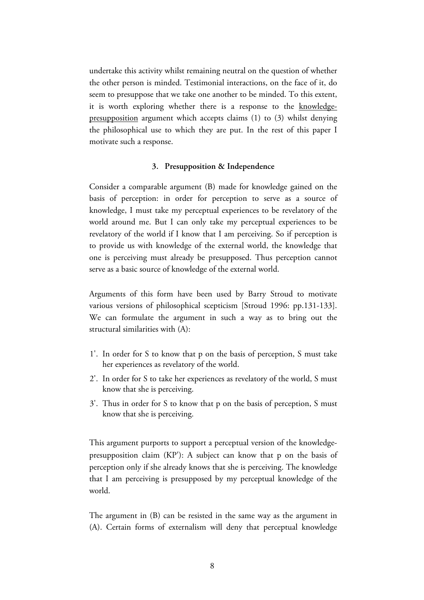undertake this activity whilst remaining neutral on the question of whether the other person is minded. Testimonial interactions, on the face of it, do seem to presuppose that we take one another to be minded. To this extent, it is worth exploring whether there is a response to the knowledgepresupposition argument which accepts claims (1) to (3) whilst denying the philosophical use to which they are put. In the rest of this paper I motivate such a response.

#### **3. Presupposition & Independence**

Consider a comparable argument (B) made for knowledge gained on the basis of perception: in order for perception to serve as a source of knowledge, I must take my perceptual experiences to be revelatory of the world around me. But I can only take my perceptual experiences to be revelatory of the world if I know that I am perceiving. So if perception is to provide us with knowledge of the external world, the knowledge that one is perceiving must already be presupposed. Thus perception cannot serve as a basic source of knowledge of the external world.

Arguments of this form have been used by Barry Stroud to motivate various versions of philosophical scepticism [Stroud 1996: pp.131-133]. We can formulate the argument in such a way as to bring out the structural similarities with (A):

- 1'. In order for S to know that p on the basis of perception, S must take her experiences as revelatory of the world.
- 2'. In order for S to take her experiences as revelatory of the world, S must know that she is perceiving.
- 3'. Thus in order for S to know that p on the basis of perception, S must know that she is perceiving.

This argument purports to support a perceptual version of the knowledgepresupposition claim (KPʹ): A subject can know that p on the basis of perception only if she already knows that she is perceiving. The knowledge that I am perceiving is presupposed by my perceptual knowledge of the world.

The argument in (B) can be resisted in the same way as the argument in (A). Certain forms of externalism will deny that perceptual knowledge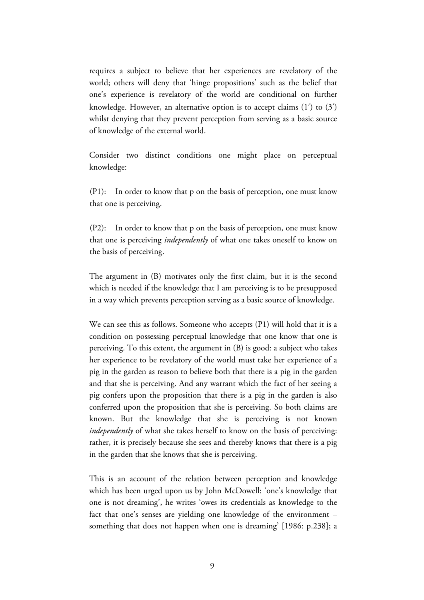requires a subject to believe that her experiences are revelatory of the world; others will deny that 'hinge propositions' such as the belief that one's experience is revelatory of the world are conditional on further knowledge. However, an alternative option is to accept claims (1ʹ) to (3ʹ) whilst denying that they prevent perception from serving as a basic source of knowledge of the external world.

Consider two distinct conditions one might place on perceptual knowledge:

(P1): In order to know that p on the basis of perception, one must know that one is perceiving.

(P2): In order to know that p on the basis of perception, one must know that one is perceiving *independently* of what one takes oneself to know on the basis of perceiving.

The argument in (B) motivates only the first claim, but it is the second which is needed if the knowledge that I am perceiving is to be presupposed in a way which prevents perception serving as a basic source of knowledge.

We can see this as follows. Someone who accepts (P1) will hold that it is a condition on possessing perceptual knowledge that one know that one is perceiving. To this extent, the argument in (B) is good: a subject who takes her experience to be revelatory of the world must take her experience of a pig in the garden as reason to believe both that there is a pig in the garden and that she is perceiving. And any warrant which the fact of her seeing a pig confers upon the proposition that there is a pig in the garden is also conferred upon the proposition that she is perceiving. So both claims are known. But the knowledge that she is perceiving is not known *independently* of what she takes herself to know on the basis of perceiving: rather, it is precisely because she sees and thereby knows that there is a pig in the garden that she knows that she is perceiving.

This is an account of the relation between perception and knowledge which has been urged upon us by John McDowell: 'one's knowledge that one is not dreaming', he writes 'owes its credentials as knowledge to the fact that one's senses are yielding one knowledge of the environment – something that does not happen when one is dreaming' [1986: p.238]; a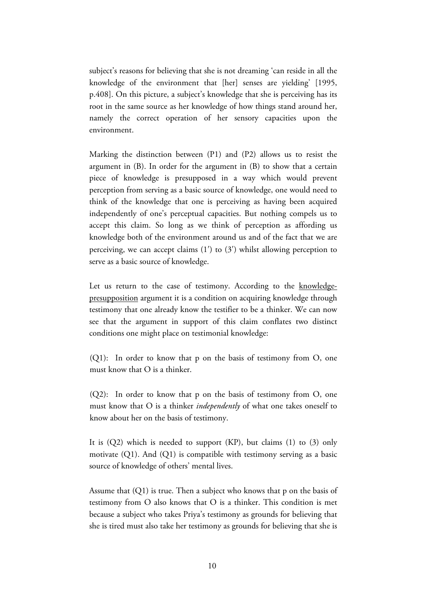subject's reasons for believing that she is not dreaming 'can reside in all the knowledge of the environment that [her] senses are yielding' [1995, p.408]. On this picture, a subject's knowledge that she is perceiving has its root in the same source as her knowledge of how things stand around her, namely the correct operation of her sensory capacities upon the environment.

Marking the distinction between (P1) and (P2) allows us to resist the argument in (B). In order for the argument in (B) to show that a certain piece of knowledge is presupposed in a way which would prevent perception from serving as a basic source of knowledge, one would need to think of the knowledge that one is perceiving as having been acquired independently of one's perceptual capacities. But nothing compels us to accept this claim. So long as we think of perception as affording us knowledge both of the environment around us and of the fact that we are perceiving, we can accept claims  $(1')$  to  $(3')$  whilst allowing perception to serve as a basic source of knowledge.

Let us return to the case of testimony. According to the knowledgepresupposition argument it is a condition on acquiring knowledge through testimony that one already know the testifier to be a thinker. We can now see that the argument in support of this claim conflates two distinct conditions one might place on testimonial knowledge:

(Q1): In order to know that p on the basis of testimony from O, one must know that O is a thinker.

(Q2): In order to know that p on the basis of testimony from O, one must know that O is a thinker *independently* of what one takes oneself to know about her on the basis of testimony.

It is  $(Q2)$  which is needed to support  $(KP)$ , but claims  $(1)$  to  $(3)$  only motivate (Q1). And (Q1) is compatible with testimony serving as a basic source of knowledge of others' mental lives.

Assume that (Q1) is true. Then a subject who knows that p on the basis of testimony from O also knows that O is a thinker. This condition is met because a subject who takes Priya's testimony as grounds for believing that she is tired must also take her testimony as grounds for believing that she is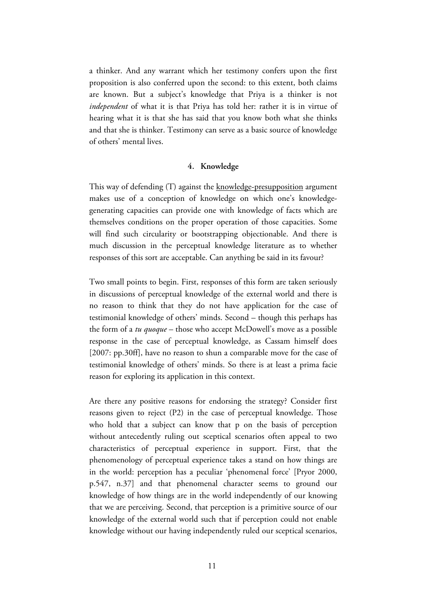a thinker. And any warrant which her testimony confers upon the first proposition is also conferred upon the second: to this extent, both claims are known. But a subject's knowledge that Priya is a thinker is not *independent* of what it is that Priya has told her: rather it is in virtue of hearing what it is that she has said that you know both what she thinks and that she is thinker. Testimony can serve as a basic source of knowledge of others' mental lives.

### **4. Knowledge**

This way of defending (T) against the knowledge-presupposition argument makes use of a conception of knowledge on which one's knowledgegenerating capacities can provide one with knowledge of facts which are themselves conditions on the proper operation of those capacities. Some will find such circularity or bootstrapping objectionable. And there is much discussion in the perceptual knowledge literature as to whether responses of this sort are acceptable. Can anything be said in its favour?

Two small points to begin. First, responses of this form are taken seriously in discussions of perceptual knowledge of the external world and there is no reason to think that they do not have application for the case of testimonial knowledge of others' minds. Second – though this perhaps has the form of a *tu quoque* – those who accept McDowell's move as a possible response in the case of perceptual knowledge, as Cassam himself does [2007: pp.30ff], have no reason to shun a comparable move for the case of testimonial knowledge of others' minds. So there is at least a prima facie reason for exploring its application in this context.

Are there any positive reasons for endorsing the strategy? Consider first reasons given to reject (P2) in the case of perceptual knowledge. Those who hold that a subject can know that p on the basis of perception without antecedently ruling out sceptical scenarios often appeal to two characteristics of perceptual experience in support. First, that the phenomenology of perceptual experience takes a stand on how things are in the world: perception has a peculiar 'phenomenal force' [Pryor 2000, p.547, n.37] and that phenomenal character seems to ground our knowledge of how things are in the world independently of our knowing that we are perceiving. Second, that perception is a primitive source of our knowledge of the external world such that if perception could not enable knowledge without our having independently ruled our sceptical scenarios,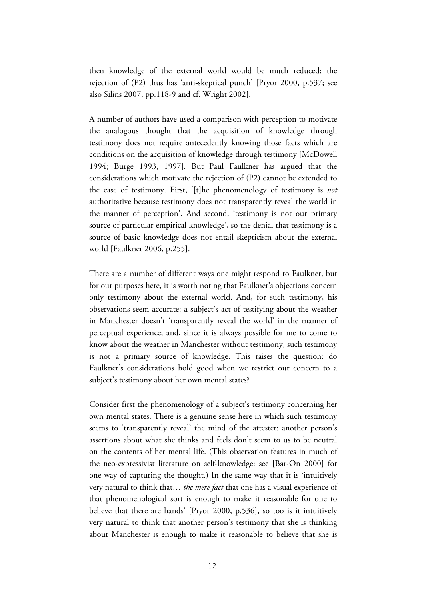then knowledge of the external world would be much reduced: the rejection of (P2) thus has 'anti-skeptical punch' [Pryor 2000, p.537; see also Silins 2007, pp.118-9 and cf. Wright 2002].

A number of authors have used a comparison with perception to motivate the analogous thought that the acquisition of knowledge through testimony does not require antecedently knowing those facts which are conditions on the acquisition of knowledge through testimony [McDowell 1994; Burge 1993, 1997]. But Paul Faulkner has argued that the considerations which motivate the rejection of (P2) cannot be extended to the case of testimony. First, '[t]he phenomenology of testimony is *not*  authoritative because testimony does not transparently reveal the world in the manner of perception'. And second, 'testimony is not our primary source of particular empirical knowledge', so the denial that testimony is a source of basic knowledge does not entail skepticism about the external world [Faulkner 2006, p.255].

There are a number of different ways one might respond to Faulkner, but for our purposes here, it is worth noting that Faulkner's objections concern only testimony about the external world. And, for such testimony, his observations seem accurate: a subject's act of testifying about the weather in Manchester doesn't 'transparently reveal the world' in the manner of perceptual experience; and, since it is always possible for me to come to know about the weather in Manchester without testimony, such testimony is not a primary source of knowledge. This raises the question: do Faulkner's considerations hold good when we restrict our concern to a subject's testimony about her own mental states?

Consider first the phenomenology of a subject's testimony concerning her own mental states. There is a genuine sense here in which such testimony seems to 'transparently reveal' the mind of the attester: another person's assertions about what she thinks and feels don't seem to us to be neutral on the contents of her mental life. (This observation features in much of the neo-expressivist literature on self-knowledge: see [Bar-On 2000] for one way of capturing the thought.) In the same way that it is 'intuitively very natural to think that… *the mere fact* that one has a visual experience of that phenomenological sort is enough to make it reasonable for one to believe that there are hands' [Pryor 2000, p.536], so too is it intuitively very natural to think that another person's testimony that she is thinking about Manchester is enough to make it reasonable to believe that she is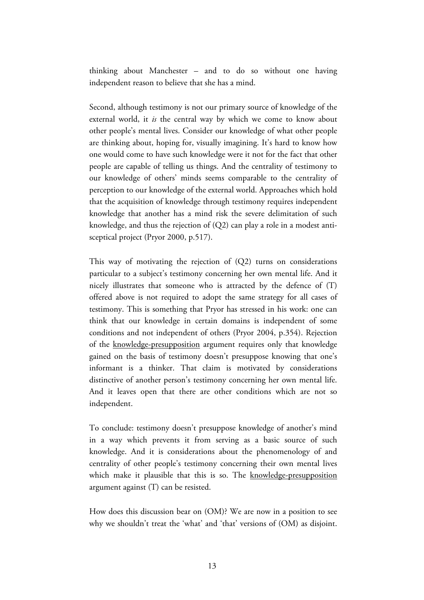thinking about Manchester – and to do so without one having independent reason to believe that she has a mind.

Second, although testimony is not our primary source of knowledge of the external world, it *is* the central way by which we come to know about other people's mental lives. Consider our knowledge of what other people are thinking about, hoping for, visually imagining. It's hard to know how one would come to have such knowledge were it not for the fact that other people are capable of telling us things. And the centrality of testimony to our knowledge of others' minds seems comparable to the centrality of perception to our knowledge of the external world. Approaches which hold that the acquisition of knowledge through testimony requires independent knowledge that another has a mind risk the severe delimitation of such knowledge, and thus the rejection of (Q2) can play a role in a modest antisceptical project (Pryor 2000, p.517).

This way of motivating the rejection of (Q2) turns on considerations particular to a subject's testimony concerning her own mental life. And it nicely illustrates that someone who is attracted by the defence of (T) offered above is not required to adopt the same strategy for all cases of testimony. This is something that Pryor has stressed in his work: one can think that our knowledge in certain domains is independent of some conditions and not independent of others (Pryor 2004, p.354). Rejection of the knowledge-presupposition argument requires only that knowledge gained on the basis of testimony doesn't presuppose knowing that one's informant is a thinker. That claim is motivated by considerations distinctive of another person's testimony concerning her own mental life. And it leaves open that there are other conditions which are not so independent.

To conclude: testimony doesn't presuppose knowledge of another's mind in a way which prevents it from serving as a basic source of such knowledge. And it is considerations about the phenomenology of and centrality of other people's testimony concerning their own mental lives which make it plausible that this is so. The knowledge-presupposition argument against (T) can be resisted.

How does this discussion bear on (OM)? We are now in a position to see why we shouldn't treat the 'what' and 'that' versions of (OM) as disjoint.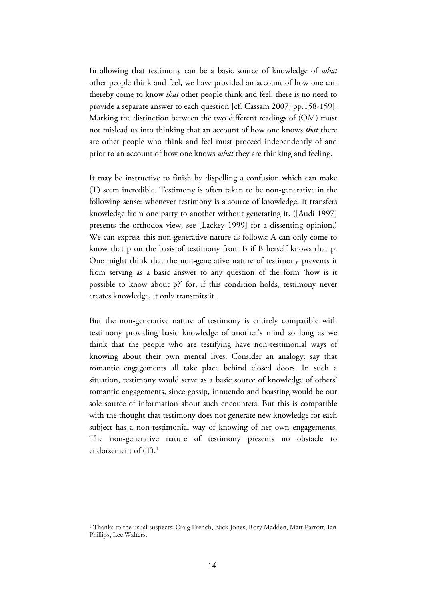In allowing that testimony can be a basic source of knowledge of *what* other people think and feel, we have provided an account of how one can thereby come to know *that* other people think and feel: there is no need to provide a separate answer to each question [cf. Cassam 2007, pp.158-159]. Marking the distinction between the two different readings of (OM) must not mislead us into thinking that an account of how one knows *that* there are other people who think and feel must proceed independently of and prior to an account of how one knows *what* they are thinking and feeling.

It may be instructive to finish by dispelling a confusion which can make (T) seem incredible. Testimony is often taken to be non-generative in the following sense: whenever testimony is a source of knowledge, it transfers knowledge from one party to another without generating it. ([Audi 1997] presents the orthodox view; see [Lackey 1999] for a dissenting opinion.) We can express this non-generative nature as follows: A can only come to know that p on the basis of testimony from B if B herself knows that p. One might think that the non-generative nature of testimony prevents it from serving as a basic answer to any question of the form 'how is it possible to know about p?' for, if this condition holds, testimony never creates knowledge, it only transmits it.

But the non-generative nature of testimony is entirely compatible with testimony providing basic knowledge of another's mind so long as we think that the people who are testifying have non-testimonial ways of knowing about their own mental lives. Consider an analogy: say that romantic engagements all take place behind closed doors. In such a situation, testimony would serve as a basic source of knowledge of others' romantic engagements, since gossip, innuendo and boasting would be our sole source of information about such encounters. But this is compatible with the thought that testimony does not generate new knowledge for each subject has a non-testimonial way of knowing of her own engagements. The non-generative nature of testimony presents no obstacle to endorsement of  $(T).<sup>1</sup>$ 

<sup>&</sup>lt;sup>1</sup> Thanks to the usual suspects: Craig French, Nick Jones, Rory Madden, Matt Parrott, Ian Phillips, Lee Walters.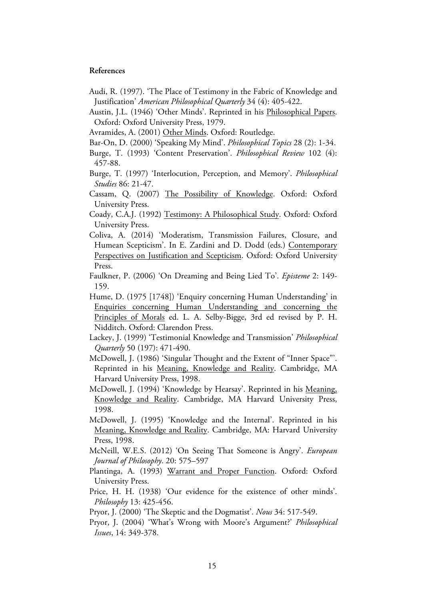#### **References**

- Audi, R. (1997). 'The Place of Testimony in the Fabric of Knowledge and Justification' *American Philosophical Quarterly* 34 (4): 405-422.
- Austin, J.L. (1946) 'Other Minds'. Reprinted in his Philosophical Papers. Oxford: Oxford University Press, 1979.
- Avramides, A. (2001) Other Minds. Oxford: Routledge.
- Bar-On, D. (2000) 'Speaking My Mind'. *Philosophical Topics* 28 (2): 1-34.
- Burge, T. (1993) 'Content Preservation'. *Philosophical Review* 102 (4): 457-88.
- Burge, T. (1997) 'Interlocution, Perception, and Memory'. *Philosophical Studies* 86: 21-47.
- Cassam, Q. (2007) The Possibility of Knowledge. Oxford: Oxford University Press.
- Coady, C.A.J. (1992) Testimony: A Philosophical Study. Oxford: Oxford University Press.
- Coliva, A. (2014) 'Moderatism, Transmission Failures, Closure, and Humean Scepticism'. In E. Zardini and D. Dodd (eds.) Contemporary Perspectives on Justification and Scepticism. Oxford: Oxford University Press.
- Faulkner, P. (2006) 'On Dreaming and Being Lied To'. *Episteme* 2: 149- 159.
- Hume, D. (1975 [1748]) 'Enquiry concerning Human Understanding' in Enquiries concerning Human Understanding and concerning the Principles of Morals ed. L. A. Selby-Bigge, 3rd ed revised by P. H. Nidditch. Oxford: Clarendon Press.
- Lackey, J. (1999) 'Testimonial Knowledge and Transmission' *Philosophical Quarterly* 50 (197): 471-490.
- McDowell, J. (1986) 'Singular Thought and the Extent of "Inner Space"'. Reprinted in his Meaning, Knowledge and Reality. Cambridge, MA Harvard University Press, 1998.
- McDowell, J. (1994) 'Knowledge by Hearsay'. Reprinted in his Meaning, Knowledge and Reality. Cambridge, MA Harvard University Press, 1998.
- McDowell, J. (1995) 'Knowledge and the Internal'. Reprinted in his Meaning, Knowledge and Reality. Cambridge, MA: Harvard University Press, 1998.
- McNeill, W.E.S. (2012) 'On Seeing That Someone is Angry'. *European Journal of Philosophy*. 20: 575–597
- Plantinga, A. (1993) Warrant and Proper Function. Oxford: Oxford University Press.
- Price, H. H. (1938) 'Our evidence for the existence of other minds'. *Philosophy* 13: 425-456.
- Pryor, J. (2000) 'The Skeptic and the Dogmatist'. *Nous* 34: 517-549.
- Pryor, J. (2004) 'What's Wrong with Moore's Argument?' *Philosophical Issues*, 14: 349-378.